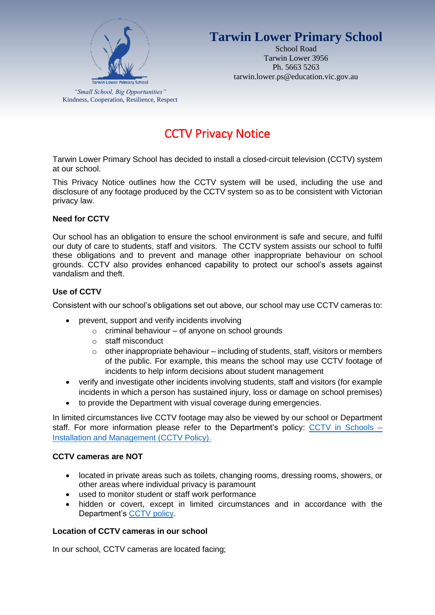

## **Tarwin Lower Primary School**

School Road Tarwin Lower 3956 Ph. 5663 5263 tarwin.lower.ps@education.vic.gov.au

# CCTV Privacy Notice

Tarwin Lower Primary School has decided to install a closed-circuit television (CCTV) system at our school.

This Privacy Notice outlines how the CCTV system will be used, including the use and disclosure of any footage produced by the CCTV system so as to be consistent with Victorian privacy law.

#### **Need for CCTV**

Our school has an obligation to ensure the school environment is safe and secure, and fulfil our duty of care to students, staff and visitors. The CCTV system assists our school to fulfil these obligations and to prevent and manage other inappropriate behaviour on school grounds. CCTV also provides enhanced capability to protect our school's assets against vandalism and theft.

### **Use of CCTV**

Consistent with our school's obligations set out above, our school may use CCTV cameras to:

- prevent, support and verify incidents involving
	- $\circ$  criminal behaviour of anyone on school grounds
	- o staff misconduct
	- $\circ$  other inappropriate behaviour including of students, staff, visitors or members of the public. For example, this means the school may use CCTV footage of incidents to help inform decisions about student management
- verify and investigate other incidents involving students, staff and visitors (for example incidents in which a person has sustained injury, loss or damage on school premises)
- to provide the Department with visual coverage during emergencies.

In limited circumstances live CCTV footage may also be viewed by our school or Department staff. For more information please refer to the Department's policy: [CCTV in Schools –](https://www2.education.vic.gov.au/pal/cctv-in-schools/policy) [Installation and Management](https://www2.education.vic.gov.au/pal/cctv-in-schools/policy) (CCTV Policy).

#### **CCTV cameras are NOT**

- located in private areas such as toilets, changing rooms, dressing rooms, showers, or other areas where individual privacy is paramount
- used to monitor student or staff work performance
- hidden or covert, except in limited circumstances and in accordance with the Department's [CCTV policy.](https://www2.education.vic.gov.au/pal/cctv-in-schools/policy)

#### **Location of CCTV cameras in our school**

In our school, CCTV cameras are located facing;